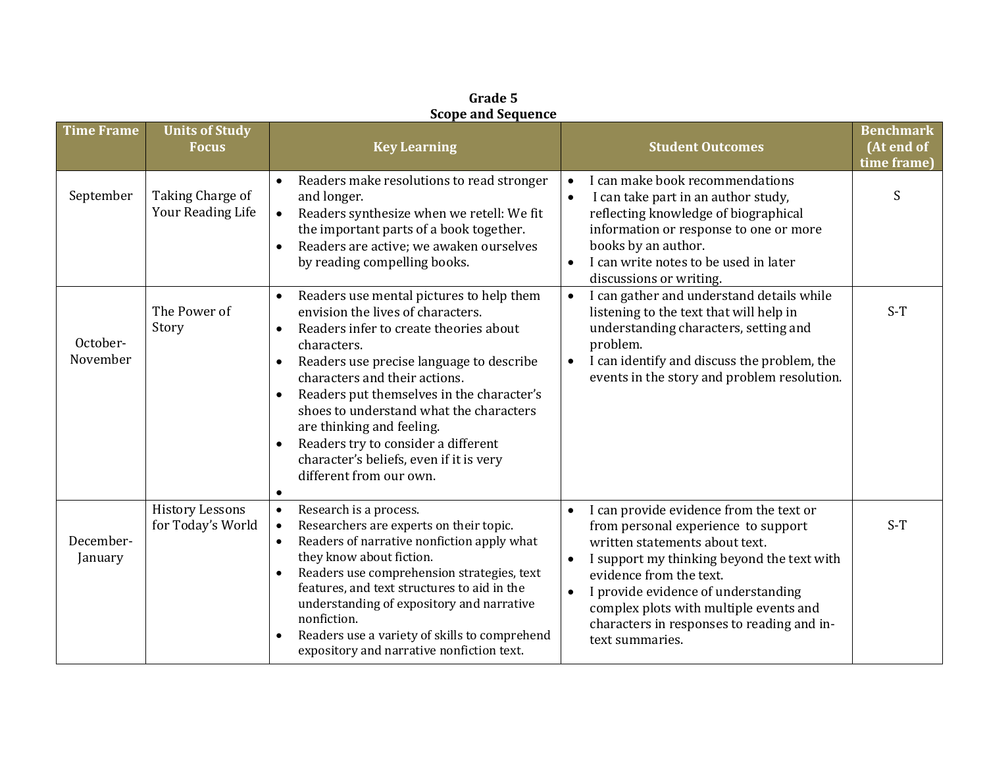|                      | scope and sequence                          |                                                                                                                                                                                                                                                                                                                                                                                                                                                                                                                                     |                                                                                                                                                                                                                                                                                                                                                          |                                               |  |  |  |  |
|----------------------|---------------------------------------------|-------------------------------------------------------------------------------------------------------------------------------------------------------------------------------------------------------------------------------------------------------------------------------------------------------------------------------------------------------------------------------------------------------------------------------------------------------------------------------------------------------------------------------------|----------------------------------------------------------------------------------------------------------------------------------------------------------------------------------------------------------------------------------------------------------------------------------------------------------------------------------------------------------|-----------------------------------------------|--|--|--|--|
| <b>Time Frame</b>    | <b>Units of Study</b><br><b>Focus</b>       | <b>Key Learning</b>                                                                                                                                                                                                                                                                                                                                                                                                                                                                                                                 | <b>Student Outcomes</b>                                                                                                                                                                                                                                                                                                                                  | <b>Benchmark</b><br>(At end of<br>time frame) |  |  |  |  |
| September            | Taking Charge of<br>Your Reading Life       | Readers make resolutions to read stronger<br>and longer.<br>Readers synthesize when we retell: We fit<br>$\bullet$<br>the important parts of a book together.<br>Readers are active; we awaken ourselves<br>$\bullet$<br>by reading compelling books.                                                                                                                                                                                                                                                                               | I can make book recommendations<br>$\bullet$<br>I can take part in an author study,<br>reflecting knowledge of biographical<br>information or response to one or more<br>books by an author.<br>I can write notes to be used in later<br>discussions or writing.                                                                                         | S                                             |  |  |  |  |
| October-<br>November | The Power of<br>Story                       | Readers use mental pictures to help them<br>$\bullet$<br>envision the lives of characters.<br>Readers infer to create theories about<br>$\bullet$<br>characters.<br>Readers use precise language to describe<br>$\bullet$<br>characters and their actions.<br>Readers put themselves in the character's<br>$\bullet$<br>shoes to understand what the characters<br>are thinking and feeling.<br>Readers try to consider a different<br>$\bullet$<br>character's beliefs, even if it is very<br>different from our own.<br>$\bullet$ | I can gather and understand details while<br>$\bullet$<br>listening to the text that will help in<br>understanding characters, setting and<br>problem.<br>I can identify and discuss the problem, the<br>$\bullet$<br>events in the story and problem resolution.                                                                                        | $S-T$                                         |  |  |  |  |
| December-<br>January | <b>History Lessons</b><br>for Today's World | Research is a process.<br>$\bullet$<br>Researchers are experts on their topic.<br>$\bullet$<br>Readers of narrative nonfiction apply what<br>$\bullet$<br>they know about fiction.<br>Readers use comprehension strategies, text<br>$\bullet$<br>features, and text structures to aid in the<br>understanding of expository and narrative<br>nonfiction.<br>Readers use a variety of skills to comprehend<br>expository and narrative nonfiction text.                                                                              | I can provide evidence from the text or<br>from personal experience to support<br>written statements about text.<br>I support my thinking beyond the text with<br>$\bullet$<br>evidence from the text.<br>I provide evidence of understanding<br>complex plots with multiple events and<br>characters in responses to reading and in-<br>text summaries. | $S-T$                                         |  |  |  |  |

**Grade 5 Scope and Sequence**